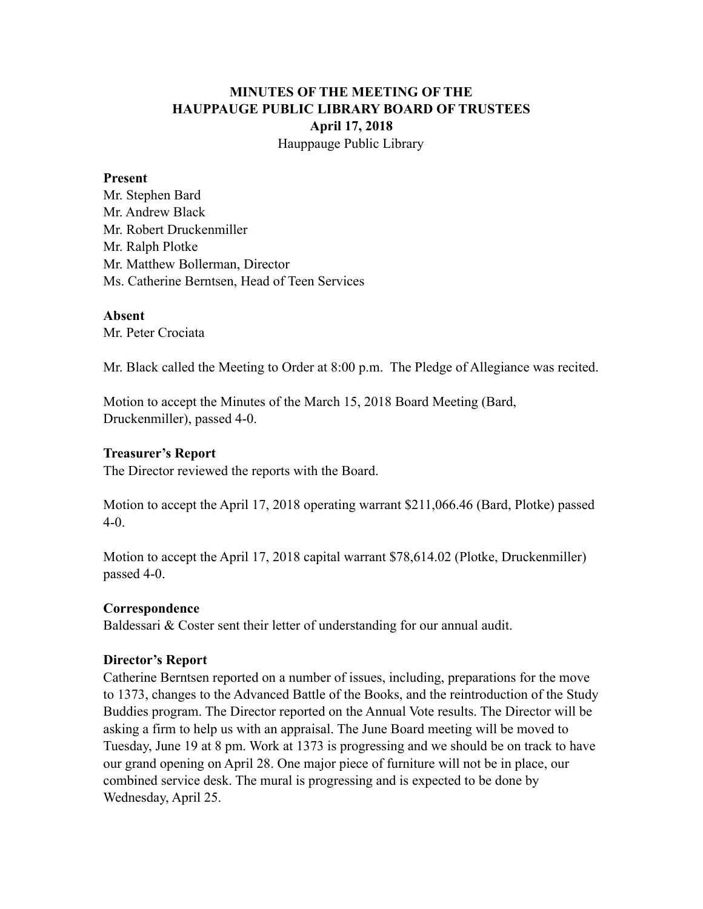# **MINUTES OF THE MEETING OF THE HAUPPAUGE PUBLIC LIBRARY BOARD OF TRUSTEES April 17, 2018** Hauppauge Public Library

#### **Present**

Mr. Stephen Bard Mr. Andrew Black Mr. Robert Druckenmiller Mr. Ralph Plotke Mr. Matthew Bollerman, Director Ms. Catherine Berntsen, Head of Teen Services

#### **Absent**

Mr. Peter Crociata

Mr. Black called the Meeting to Order at 8:00 p.m. The Pledge of Allegiance was recited.

Motion to accept the Minutes of the March 15, 2018 Board Meeting (Bard, Druckenmiller), passed 4-0.

## **Treasurer's Report**

The Director reviewed the reports with the Board.

Motion to accept the April 17, 2018 operating warrant \$211,066.46 (Bard, Plotke) passed 4-0.

Motion to accept the April 17, 2018 capital warrant \$78,614.02 (Plotke, Druckenmiller) passed 4-0.

## **Correspondence**

Baldessari & Coster sent their letter of understanding for our annual audit.

## **Director's Report**

Catherine Berntsen reported on a number of issues, including, preparations for the move to 1373, changes to the Advanced Battle of the Books, and the reintroduction of the Study Buddies program. The Director reported on the Annual Vote results. The Director will be asking a firm to help us with an appraisal. The June Board meeting will be moved to Tuesday, June 19 at 8 pm. Work at 1373 is progressing and we should be on track to have our grand opening on April 28. One major piece of furniture will not be in place, our combined service desk. The mural is progressing and is expected to be done by Wednesday, April 25.